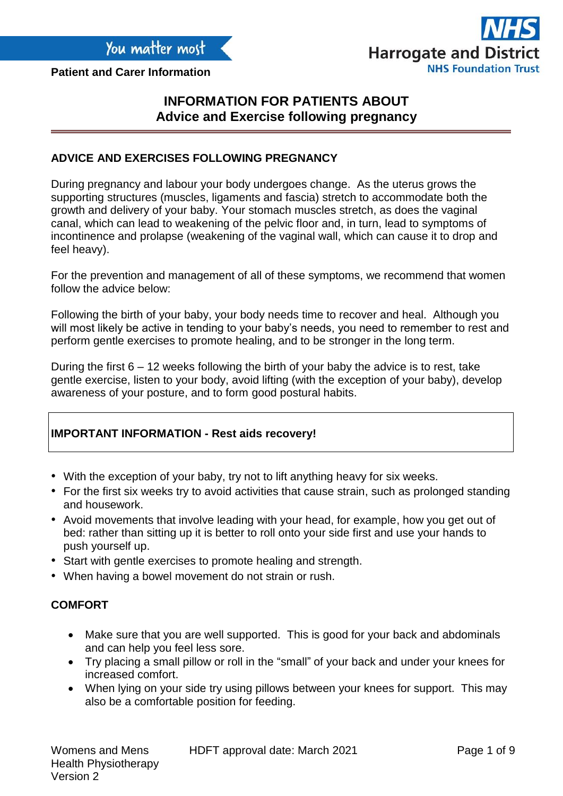**Patient and Carer Information**



# **INFORMATION FOR PATIENTS ABOUT Advice and Exercise following pregnancy**

### **ADVICE AND EXERCISES FOLLOWING PREGNANCY**

During pregnancy and labour your body undergoes change. As the uterus grows the supporting structures (muscles, ligaments and fascia) stretch to accommodate both the growth and delivery of your baby. Your stomach muscles stretch, as does the vaginal canal, which can lead to weakening of the pelvic floor and, in turn, lead to symptoms of incontinence and prolapse (weakening of the vaginal wall, which can cause it to drop and feel heavy).

For the prevention and management of all of these symptoms, we recommend that women follow the advice below:

Following the birth of your baby, your body needs time to recover and heal. Although you will most likely be active in tending to your baby's needs, you need to remember to rest and perform gentle exercises to promote healing, and to be stronger in the long term.

During the first  $6 - 12$  weeks following the birth of your baby the advice is to rest, take gentle exercise, listen to your body, avoid lifting (with the exception of your baby), develop awareness of your posture, and to form good postural habits.

# **IMPORTANT INFORMATION - Rest aids recovery!**

- With the exception of your baby, try not to lift anything heavy for six weeks.
- For the first six weeks try to avoid activities that cause strain, such as prolonged standing and housework.
- Avoid movements that involve leading with your head, for example, how you get out of bed: rather than sitting up it is better to roll onto your side first and use your hands to push yourself up.
- Start with gentle exercises to promote healing and strength.
- When having a bowel movement do not strain or rush.

# **COMFORT**

- Make sure that you are well supported. This is good for your back and abdominals and can help you feel less sore.
- Try placing a small pillow or roll in the "small" of your back and under your knees for increased comfort.
- When lying on your side try using pillows between your knees for support. This may also be a comfortable position for feeding.

HDFT approval date: March 2021 Page 1 of 9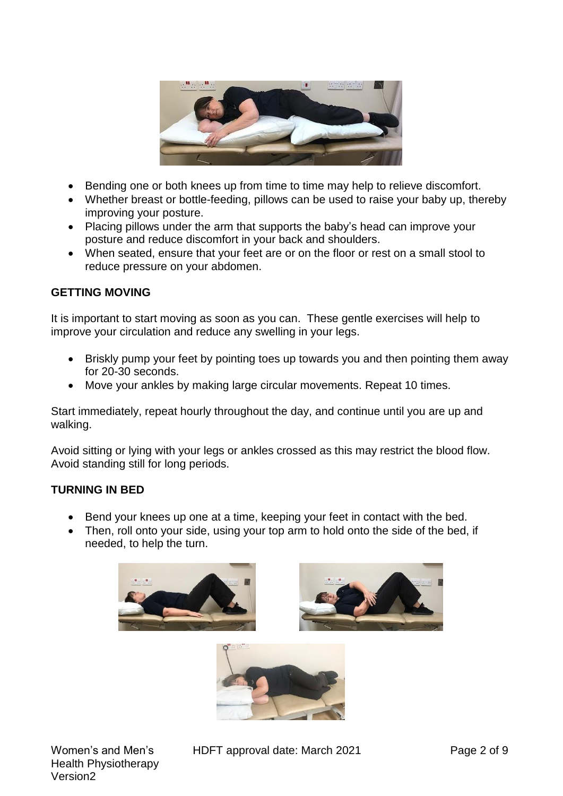

- Bending one or both knees up from time to time may help to relieve discomfort.
- Whether breast or bottle-feeding, pillows can be used to raise your baby up, thereby improving your posture.
- Placing pillows under the arm that supports the baby's head can improve your posture and reduce discomfort in your back and shoulders.
- When seated, ensure that your feet are or on the floor or rest on a small stool to reduce pressure on your abdomen.

# **GETTING MOVING**

It is important to start moving as soon as you can. These gentle exercises will help to improve your circulation and reduce any swelling in your legs.

- Briskly pump your feet by pointing toes up towards you and then pointing them away for 20-30 seconds.
- Move your ankles by making large circular movements. Repeat 10 times.

Start immediately, repeat hourly throughout the day, and continue until you are up and walking.

Avoid sitting or lying with your legs or ankles crossed as this may restrict the blood flow. Avoid standing still for long periods.

# **TURNING IN BED**

- Bend your knees up one at a time, keeping your feet in contact with the bed.
- Then, roll onto your side, using your top arm to hold onto the side of the bed, if needed, to help the turn.







HDFT approval date: March 2021 Page 2 of 9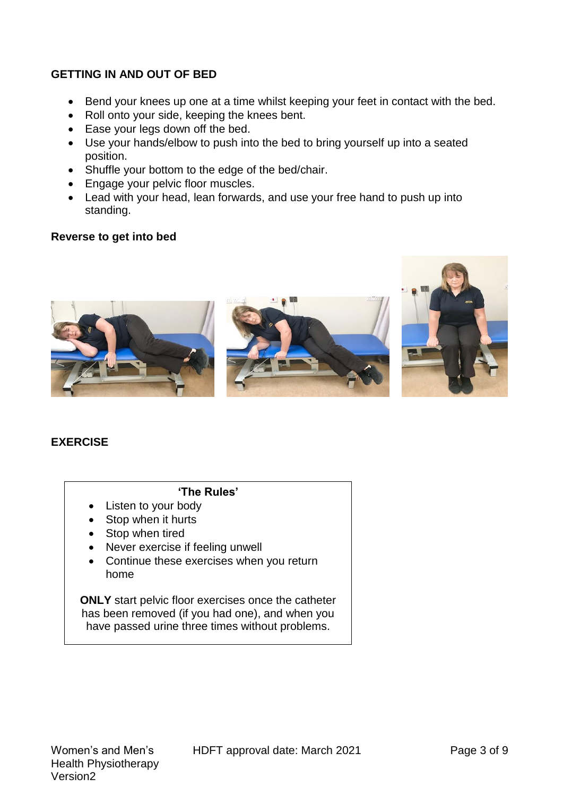# **GETTING IN AND OUT OF BED**

- Bend your knees up one at a time whilst keeping your feet in contact with the bed.
- Roll onto your side, keeping the knees bent.
- Ease your legs down off the bed.
- Use your hands/elbow to push into the bed to bring yourself up into a seated position.
- Shuffle your bottom to the edge of the bed/chair.
- Engage your pelvic floor muscles.
- Lead with your head, lean forwards, and use your free hand to push up into standing.

### **Reverse to get into bed**







# **EXERCISE**

# **'The Rules'**

- Listen to your body
- Stop when it hurts
- Stop when tired
- Never exercise if feeling unwell
- Continue these exercises when you return home

**ONLY** start pelvic floor exercises once the catheter has been removed (if you had one), and when you have passed urine three times without problems.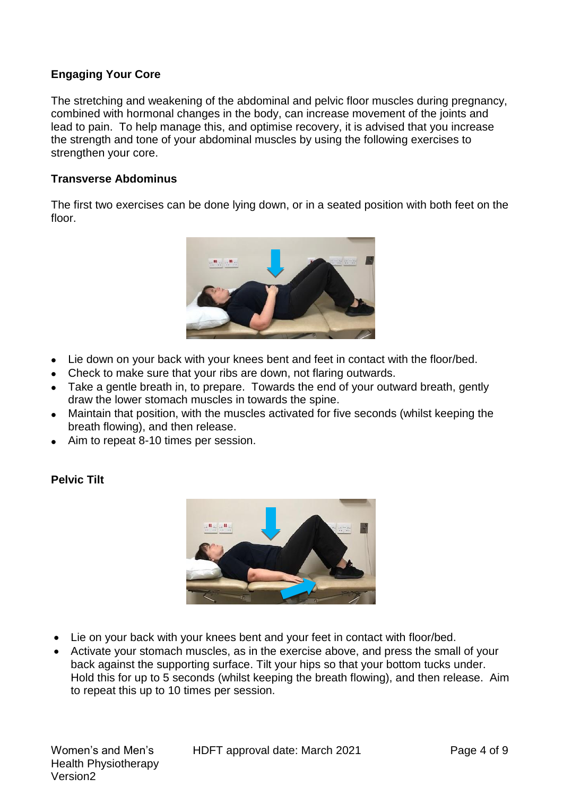# **Engaging Your Core**

The stretching and weakening of the abdominal and pelvic floor muscles during pregnancy, combined with hormonal changes in the body, can increase movement of the joints and lead to pain. To help manage this, and optimise recovery, it is advised that you increase the strength and tone of your abdominal muscles by using the following exercises to strengthen your core.

#### **Transverse Abdominus**

The first two exercises can be done lying down, or in a seated position with both feet on the floor.



- Lie down on your back with your knees bent and feet in contact with the floor/bed.
- Check to make sure that your ribs are down, not flaring outwards.
- Take a gentle breath in, to prepare. Towards the end of your outward breath, gently draw the lower stomach muscles in towards the spine.
- Maintain that position, with the muscles activated for five seconds (whilst keeping the breath flowing), and then release.
- Aim to repeat 8-10 times per session.

### **Pelvic Tilt**



- Lie on your back with your knees bent and your feet in contact with floor/bed.
- Activate your stomach muscles, as in the exercise above, and press the small of your back against the supporting surface. Tilt your hips so that your bottom tucks under. Hold this for up to 5 seconds (whilst keeping the breath flowing), and then release. Aim to repeat this up to 10 times per session.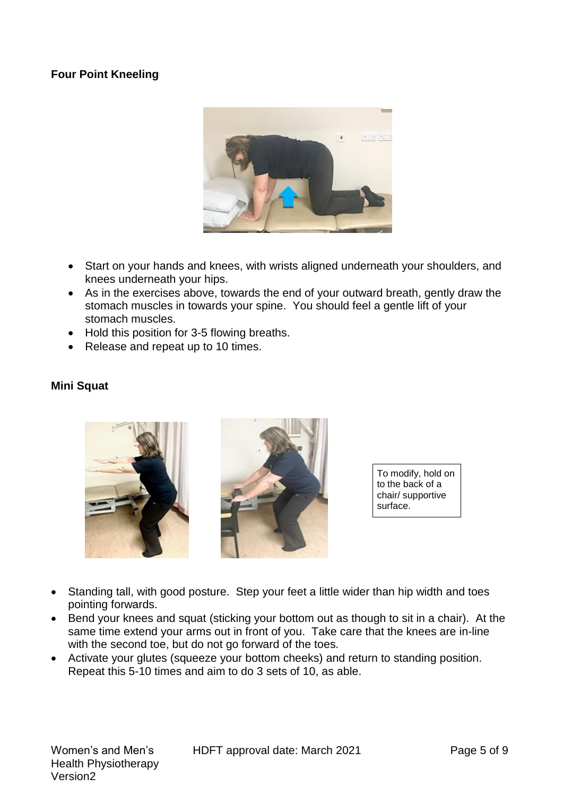# **Four Point Kneeling**



- Start on your hands and knees, with wrists aligned underneath your shoulders, and knees underneath your hips.
- As in the exercises above, towards the end of your outward breath, gently draw the stomach muscles in towards your spine. You should feel a gentle lift of your stomach muscles.
- Hold this position for 3-5 flowing breaths.
- Release and repeat up to 10 times.

#### **Mini Squat**





To modify, hold on to the back of a chair/ supportive surface.

- Standing tall, with good posture. Step your feet a little wider than hip width and toes pointing forwards.
- Bend your knees and squat (sticking your bottom out as though to sit in a chair). At the same time extend your arms out in front of you. Take care that the knees are in-line with the second toe, but do not go forward of the toes.
- Activate your glutes (squeeze your bottom cheeks) and return to standing position. Repeat this 5-10 times and aim to do 3 sets of 10, as able.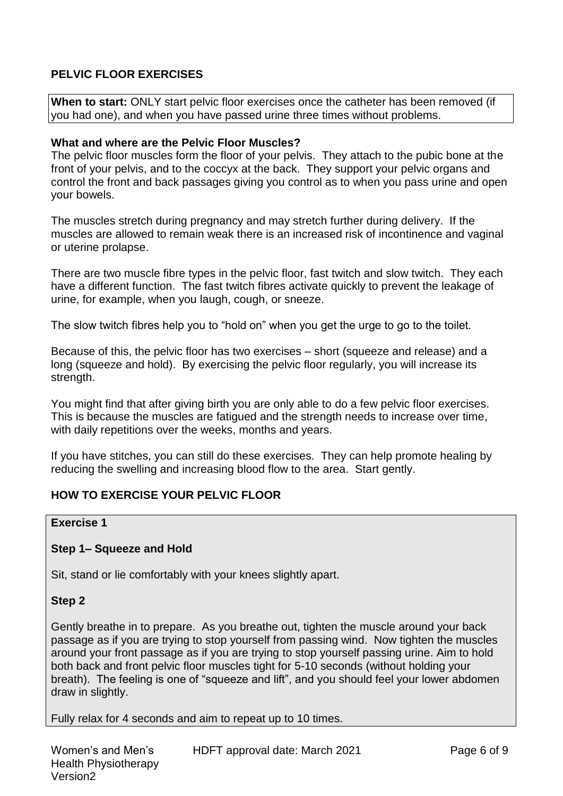# **PELVIC FLOOR EXERCISES**

**When to start:** ONLY start pelvic floor exercises once the catheter has been removed (if you had one), and when you have passed urine three times without problems.

#### **What and where are the Pelvic Floor Muscles?**

The pelvic floor muscles form the floor of your pelvis. They attach to the pubic bone at the front of your pelvis, and to the coccyx at the back. They support your pelvic organs and control the front and back passages giving you control as to when you pass urine and open your bowels.

The muscles stretch during pregnancy and may stretch further during delivery. If the muscles are allowed to remain weak there is an increased risk of incontinence and vaginal or uterine prolapse.

There are two muscle fibre types in the pelvic floor, fast twitch and slow twitch. They each have a different function. The fast twitch fibres activate quickly to prevent the leakage of urine, for example, when you laugh, cough, or sneeze.

The slow twitch fibres help you to "hold on" when you get the urge to go to the toilet.

Because of this, the pelvic floor has two exercises – short (squeeze and release) and a long (squeeze and hold). By exercising the pelvic floor regularly, you will increase its strength.

You might find that after giving birth you are only able to do a few pelvic floor exercises. This is because the muscles are fatigued and the strength needs to increase over time, with daily repetitions over the weeks, months and years.

If you have stitches, you can still do these exercises. They can help promote healing by reducing the swelling and increasing blood flow to the area. Start gently.

# **HOW TO EXERCISE YOUR PELVIC FLOOR**

#### **Exercise 1**

### **Step 1– Squeeze and Hold**

Sit, stand or lie comfortably with your knees slightly apart.

#### **Step 2**

Gently breathe in to prepare. As you breathe out, tighten the muscle around your back passage as if you are trying to stop yourself from passing wind. Now tighten the muscles around your front passage as if you are trying to stop yourself passing urine. Aim to hold both back and front pelvic floor muscles tight for 5-10 seconds (without holding your breath). The feeling is one of "squeeze and lift", and you should feel your lower abdomen draw in slightly.

Fully relax for 4 seconds and aim to repeat up to 10 times.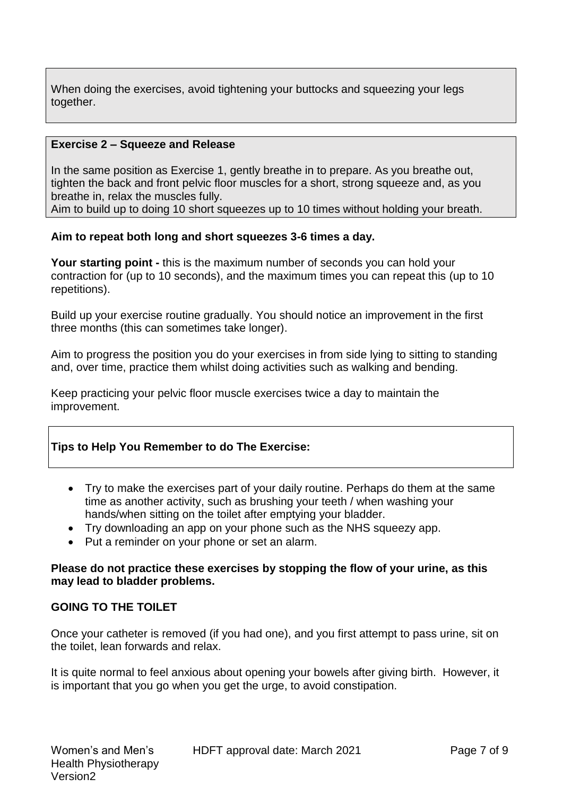When doing the exercises, avoid tightening your buttocks and squeezing your legs together.

### **Exercise 2 – Squeeze and Release**

In the same position as Exercise 1, gently breathe in to prepare. As you breathe out, tighten the back and front pelvic floor muscles for a short, strong squeeze and, as you breathe in, relax the muscles fully.

Aim to build up to doing 10 short squeezes up to 10 times without holding your breath.

### **Aim to repeat both long and short squeezes 3-6 times a day.**

**Your starting point -** this is the maximum number of seconds you can hold your contraction for (up to 10 seconds), and the maximum times you can repeat this (up to 10 repetitions).

Build up your exercise routine gradually. You should notice an improvement in the first three months (this can sometimes take longer).

Aim to progress the position you do your exercises in from side lying to sitting to standing and, over time, practice them whilst doing activities such as walking and bending.

Keep practicing your pelvic floor muscle exercises twice a day to maintain the improvement.

# **Tips to Help You Remember to do The Exercise:**

- Try to make the exercises part of your daily routine. Perhaps do them at the same time as another activity, such as brushing your teeth / when washing your hands/when sitting on the toilet after emptying your bladder.
- Try downloading an app on your phone such as the NHS squeezy app.
- Put a reminder on your phone or set an alarm.

### **Please do not practice these exercises by stopping the flow of your urine, as this may lead to bladder problems.**

# **GOING TO THE TOILET**

Once your catheter is removed (if you had one), and you first attempt to pass urine, sit on the toilet, lean forwards and relax.

It is quite normal to feel anxious about opening your bowels after giving birth. However, it is important that you go when you get the urge, to avoid constipation.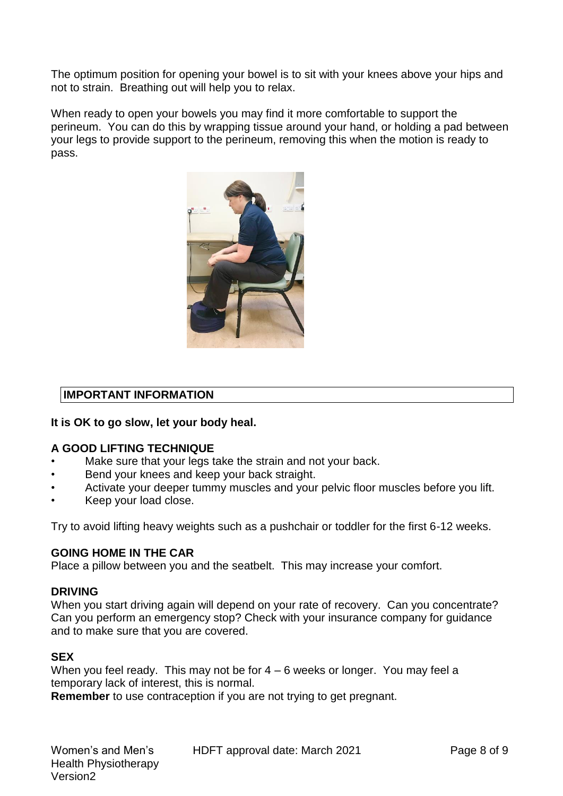The optimum position for opening your bowel is to sit with your knees above your hips and not to strain. Breathing out will help you to relax.

When ready to open your bowels you may find it more comfortable to support the perineum. You can do this by wrapping tissue around your hand, or holding a pad between your legs to provide support to the perineum, removing this when the motion is ready to pass.



# **IMPORTANT INFORMATION**

### **It is OK to go slow, let your body heal.**

### **A GOOD LIFTING TECHNIQUE**

- Make sure that your legs take the strain and not your back.
- Bend your knees and keep your back straight.
- Activate your deeper tummy muscles and your pelvic floor muscles before you lift.
- Keep your load close.

Try to avoid lifting heavy weights such as a pushchair or toddler for the first 6-12 weeks.

### **GOING HOME IN THE CAR**

Place a pillow between you and the seatbelt. This may increase your comfort.

### **DRIVING**

When you start driving again will depend on your rate of recovery. Can you concentrate? Can you perform an emergency stop? Check with your insurance company for guidance and to make sure that you are covered.

### **SEX**

When you feel ready. This may not be for  $4 - 6$  weeks or longer. You may feel a temporary lack of interest, this is normal.

**Remember** to use contraception if you are not trying to get pregnant.

HDFT approval date: March 2021 Page 8 of 9